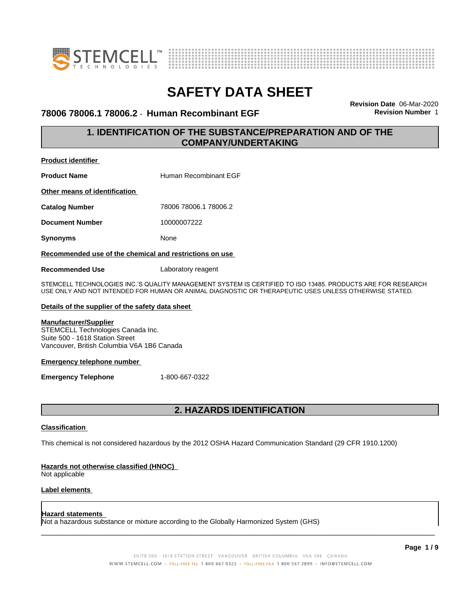



### **78006 78006.1 78006.2** - **Human Recombinant EGF Revision Number** 1

**Revision Date** 06-Mar-2020

### **1. IDENTIFICATION OF THE SUBSTANCE/PREPARATION AND OF THE COMPANY/UNDERTAKING**

**Product identifier**

**Product Name** Human Recombinant EGF

**Other means of identification**

**Catalog Number** 78006 78006.1 78006.2

**Document Number** 10000007222

**Synonyms** None

### **Recommended use of the chemical and restrictions on use**

**Recommended Use** Laboratory reagent

STEMCELL TECHNOLOGIES INC.'S QUALITY MANAGEMENT SYSTEM IS CERTIFIED TO ISO 13485. PRODUCTS ARE FOR RESEARCH USE ONLY AND NOT INTENDED FOR HUMAN OR ANIMAL DIAGNOSTIC OR THERAPEUTIC USES UNLESS OTHERWISE STATED.

### **Details of the supplier of the safety data sheet**

### **Manufacturer/Supplier**

STEMCELL Technologies Canada Inc. Suite 500 - 1618 Station Street Vancouver, British Columbia V6A 1B6 Canada

### **Emergency telephone number**

**Emergency Telephone** 1-800-667-0322

### **2. HAZARDS IDENTIFICATION**

### **Classification**

This chemical is not considered hazardous by the 2012 OSHA Hazard Communication Standard (29 CFR 1910.1200)

### **Hazards not otherwise classified (HNOC)**

Not applicable

### **Label elements**

#### **Hazard statements**

Not a hazardous substance or mixture according to the Globally Harmonized System (GHS)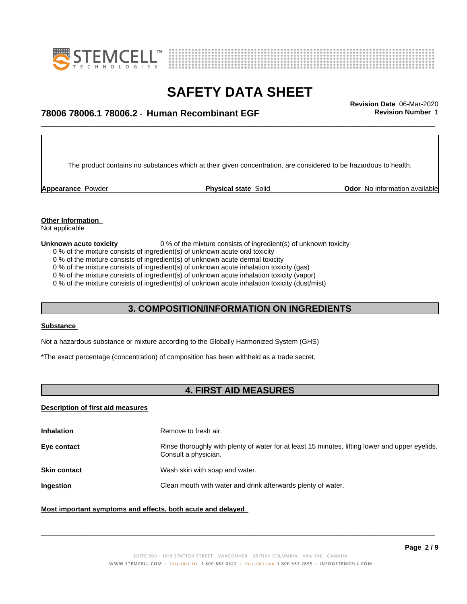



\_\_\_\_\_\_\_\_\_\_\_\_\_\_\_\_\_\_\_\_\_\_\_\_\_\_\_\_\_\_\_\_\_\_\_\_\_\_\_\_\_\_\_\_\_\_\_\_\_\_\_\_\_\_\_\_\_\_\_\_\_\_\_\_\_\_\_\_\_\_\_\_\_\_\_\_\_\_\_\_\_\_\_\_\_\_\_\_\_\_\_\_\_ **Revision Date** 06-Mar-2020 **78006 78006.1 78006.2** - **Human Recombinant EGF Revision Number** 1

The product contains no substances which at their given concentration, are considered to be hazardous to health.

**Appearance** Powder **Physical state** Solid **Physical Solid Physical Solid Physical Solid Physical Solid Physical Solid Physical Solid Physical Solid Physical Solid Physical Solid Physical Solid Physical** 

### **Other Information**

Not applicable

### **Unknown acute toxicity** 0 % of the mixture consists of ingredient(s) of unknown toxicity

0 % of the mixture consists of ingredient(s) of unknown acute oral toxicity

0 % of the mixture consists of ingredient(s) of unknown acute dermal toxicity

0 % of the mixture consists of ingredient(s) of unknown acute inhalation toxicity (gas)

0 % of the mixture consists of ingredient(s) of unknown acute inhalation toxicity (vapor)

0 % of the mixture consists of ingredient(s) of unknown acute inhalation toxicity (dust/mist)

### **3. COMPOSITION/INFORMATION ON INGREDIENTS**

#### **Substance**

Not a hazardous substance or mixture according to the Globally Harmonized System (GHS)

\*The exact percentage (concentration) of composition has been withheld as a trade secret.

### **4. FIRST AID MEASURES**

### **Description of first aid measures**

| <b>Inhalation</b>   | Remove to fresh air.                                                                                                    |
|---------------------|-------------------------------------------------------------------------------------------------------------------------|
| Eye contact         | Rinse thoroughly with plenty of water for at least 15 minutes, lifting lower and upper eyelids.<br>Consult a physician. |
| <b>Skin contact</b> | Wash skin with soap and water.                                                                                          |
| <b>Ingestion</b>    | Clean mouth with water and drink afterwards plenty of water.                                                            |
|                     |                                                                                                                         |

### **Most important symptoms and effects, both acute and delayed**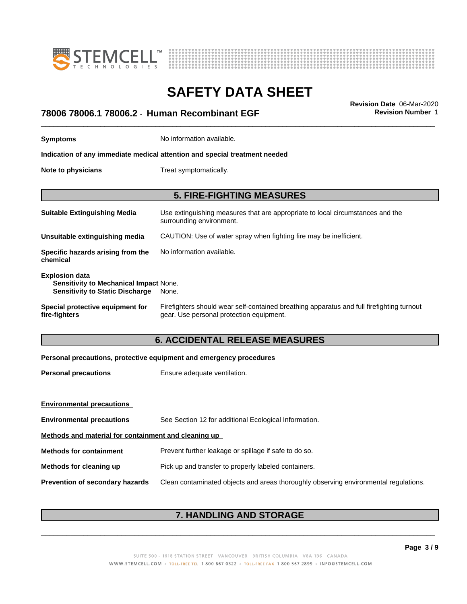



## \_\_\_\_\_\_\_\_\_\_\_\_\_\_\_\_\_\_\_\_\_\_\_\_\_\_\_\_\_\_\_\_\_\_\_\_\_\_\_\_\_\_\_\_\_\_\_\_\_\_\_\_\_\_\_\_\_\_\_\_\_\_\_\_\_\_\_\_\_\_\_\_\_\_\_\_\_\_\_\_\_\_\_\_\_\_\_\_\_\_\_\_\_ **Revision Date** 06-Mar-2020 **78006 78006.1 78006.2** - **Human Recombinant EGF Revision Number** 1

**Symptoms** No information available. **Indication of any immediate medical attention and special treatment needed Note to physicians** Treat symptomatically. **5. FIRE-FIGHTING MEASURES Suitable Extinguishing Media** Use extinguishing measures that are appropriate to local circumstances and the surrounding environment. **Unsuitable extinguishing media** CAUTION: Use of water spray when fighting fire may be inefficient. **Specific hazards arising from the chemical** No information available. **Explosion data Sensitivity to Mechanical Impact** None. **Sensitivity to Static Discharge** None. **Special protective equipment for fire-fighters** Firefighters should wear self-contained breathing apparatus and full firefighting turnout gear. Use personal protection equipment.**6. ACCIDENTAL RELEASE MEASURES**

### **Personal precautions, protective equipment and emergency procedures**

**Personal precautions** Ensure adequate ventilation.

| <b>Environmental precautions</b>                     |                                                                                      |  |  |
|------------------------------------------------------|--------------------------------------------------------------------------------------|--|--|
| <b>Environmental precautions</b>                     | See Section 12 for additional Ecological Information.                                |  |  |
| Methods and material for containment and cleaning up |                                                                                      |  |  |
| <b>Methods for containment</b>                       | Prevent further leakage or spillage if safe to do so.                                |  |  |
| Methods for cleaning up                              | Pick up and transfer to properly labeled containers.                                 |  |  |
| <b>Prevention of secondary hazards</b>               | Clean contaminated objects and areas thoroughly observing environmental regulations. |  |  |
|                                                      |                                                                                      |  |  |

### **7. HANDLING AND STORAGE**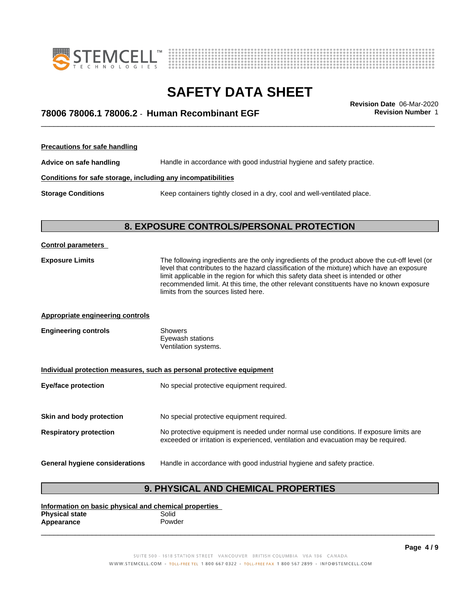



## \_\_\_\_\_\_\_\_\_\_\_\_\_\_\_\_\_\_\_\_\_\_\_\_\_\_\_\_\_\_\_\_\_\_\_\_\_\_\_\_\_\_\_\_\_\_\_\_\_\_\_\_\_\_\_\_\_\_\_\_\_\_\_\_\_\_\_\_\_\_\_\_\_\_\_\_\_\_\_\_\_\_\_\_\_\_\_\_\_\_\_\_\_ **Revision Date** 06-Mar-2020 **78006 78006.1 78006.2** - **Human Recombinant EGF Revision Number** 1

**Precautions for safe handling Advice on safe handling** Handle in accordance with good industrial hygiene and safety practice. **Conditions for safe storage, including any incompatibilities Storage Conditions** Keep containers tightly closed in a dry, cool and well-ventilated place.

### **8. EXPOSURE CONTROLS/PERSONAL PROTECTION**

| <b>Control parameters</b>               |                                                                                                                                                                                                                                                                                                                                                                                                                        |  |
|-----------------------------------------|------------------------------------------------------------------------------------------------------------------------------------------------------------------------------------------------------------------------------------------------------------------------------------------------------------------------------------------------------------------------------------------------------------------------|--|
| <b>Exposure Limits</b>                  | The following ingredients are the only ingredients of the product above the cut-off level (or<br>level that contributes to the hazard classification of the mixture) which have an exposure<br>limit applicable in the region for which this safety data sheet is intended or other<br>recommended limit. At this time, the other relevant constituents have no known exposure<br>limits from the sources listed here. |  |
| <b>Appropriate engineering controls</b> |                                                                                                                                                                                                                                                                                                                                                                                                                        |  |
| <b>Engineering controls</b>             | <b>Showers</b><br>Eyewash stations<br>Ventilation systems.                                                                                                                                                                                                                                                                                                                                                             |  |
|                                         | Individual protection measures, such as personal protective equipment                                                                                                                                                                                                                                                                                                                                                  |  |
| <b>Eye/face protection</b>              | No special protective equipment required.                                                                                                                                                                                                                                                                                                                                                                              |  |
| Skin and body protection                | No special protective equipment required.                                                                                                                                                                                                                                                                                                                                                                              |  |
| <b>Respiratory protection</b>           | No protective equipment is needed under normal use conditions. If exposure limits are<br>exceeded or irritation is experienced, ventilation and evacuation may be required.                                                                                                                                                                                                                                            |  |
| <b>General hygiene considerations</b>   | Handle in accordance with good industrial hygiene and safety practice.                                                                                                                                                                                                                                                                                                                                                 |  |

### **9. PHYSICAL AND CHEMICAL PROPERTIES**

**Information on basic physical and chemical properties Physical state** Solid<br> **Appearance** Solid Powder **Appearance** 

> SUITE 500 - 1618 STATION STREET VANCOUVER BRITISH COLUMBIA V6A 1B6 CANADA WWW.STEMCELL.COM • TOLL-FREE TEL 1 800 667 0322 • TOLL-FREE FAX 1 800 567 2899 • INFO@STEMCELL.COM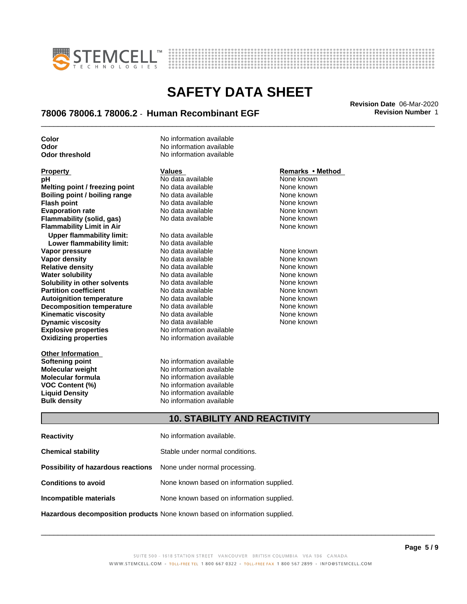



## \_\_\_\_\_\_\_\_\_\_\_\_\_\_\_\_\_\_\_\_\_\_\_\_\_\_\_\_\_\_\_\_\_\_\_\_\_\_\_\_\_\_\_\_\_\_\_\_\_\_\_\_\_\_\_\_\_\_\_\_\_\_\_\_\_\_\_\_\_\_\_\_\_\_\_\_\_\_\_\_\_\_\_\_\_\_\_\_\_\_\_\_\_ **Revision Date** 06-Mar-2020 **78006 78006.1 78006.2** - **Human Recombinant EGF Revision Number** 1

**Color** No information available **Odor** No information available **Odor threshold** No information available **Explosive properties** No information available **Oxidizing properties** No information available **Property Remarks •Method Values Remarks** •Method **pH** No data available None known<br> **Melting point / freezing point** No data available None Known **Melting point / freezing point** No data available None known **Boiling point / boiling range No data available None known Flash point** No data available None known **Evaporation rate Reserve State State Additional None Convention Cone Control of the None known**<br> **Flammability (solid. gas)** No data available **None Known Flammability (solid, gas)** No data available None known<br> **Flammability Limit in Air** None Known **Flammability Limit in Air Upper flammability limit:** No data available **Lower flammability limit:** No data available **Vapor pressure No data available and the None known**<br> **Vapor density No data available None known**<br>
No data available **None known Vapor density**<br> **Vapor density**<br> **Relative density**<br>
None known<br>
None known **Relative density No data available None known**<br> **Water solubility No data available None known**<br>
No data available **Water solubility <br>
<b>Water solubility n** other **solvents** Modata available **None known**<br>
None known **Solubility in other solvents** No data available<br> **Partition coefficient** No data available **Partition coefficient**<br> **Autoignition temperature**<br>
No data available None Known None known **Autoignition temperature No data available None known**<br> **Decomposition temperature** No data available **None known**<br>
None known **Decomposition temperature** No data available **None known**<br> **Kinematic viscosity** No data available None known **Kinematic viscosity No data available None known**<br> **None known**<br>
No data available **None known**<br>
None known **Dynamic viscosity** 

**Other Information Softening point** No information available<br> **Molecular weight** No information available **Molecular weight<br>Molecular formula** 

**Molecular formula No information available**<br>**VOC Content (%) No information available VOC Content (%)** No information available **Liquid Density** No information available **Bulk density** No information available

None known

### **10. STABILITY AND REACTIVITY**

| <b>Reactivity</b>                                                       | No information available.                 |
|-------------------------------------------------------------------------|-------------------------------------------|
| <b>Chemical stability</b>                                               | Stable under normal conditions.           |
| <b>Possibility of hazardous reactions</b> None under normal processing. |                                           |
| <b>Conditions to avoid</b>                                              | None known based on information supplied. |
| Incompatible materials                                                  | None known based on information supplied. |
|                                                                         |                                           |

**Hazardous decomposition products** None known based on information supplied.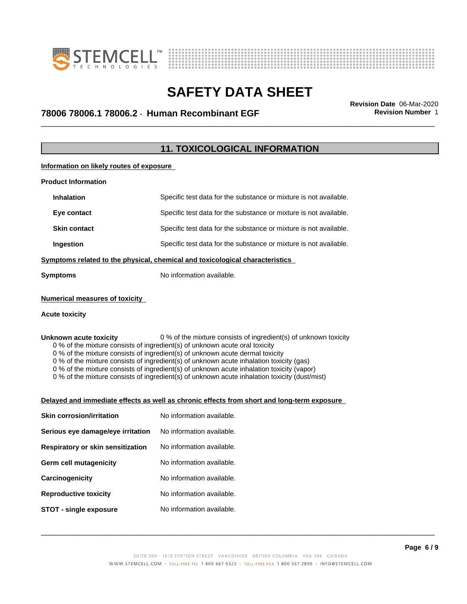



## \_\_\_\_\_\_\_\_\_\_\_\_\_\_\_\_\_\_\_\_\_\_\_\_\_\_\_\_\_\_\_\_\_\_\_\_\_\_\_\_\_\_\_\_\_\_\_\_\_\_\_\_\_\_\_\_\_\_\_\_\_\_\_\_\_\_\_\_\_\_\_\_\_\_\_\_\_\_\_\_\_\_\_\_\_\_\_\_\_\_\_\_\_ **Revision Date** 06-Mar-2020 **78006 78006.1 78006.2** - **Human Recombinant EGF Revision Number** 1

### **11. TOXICOLOGICAL INFORMATION**

**Information on likely routes of exposure**

| <b>Product Information</b> |                                                                              |  |
|----------------------------|------------------------------------------------------------------------------|--|
| <b>Inhalation</b>          | Specific test data for the substance or mixture is not available.            |  |
| Eye contact                | Specific test data for the substance or mixture is not available.            |  |
| <b>Skin contact</b>        | Specific test data for the substance or mixture is not available.            |  |
| Ingestion                  | Specific test data for the substance or mixture is not available.            |  |
|                            | Symptoms related to the physical, chemical and toxicological characteristics |  |
| <b>Symptoms</b>            | No information available.                                                    |  |

### **Numerical measures of toxicity**

### **Acute toxicity**

**Unknown acute toxicity** 0 % of the mixture consists of ingredient(s) of unknown toxicity 0 % of the mixture consists of ingredient(s) of unknown acute oral toxicity

0 % of the mixture consists of ingredient(s) of unknown acute dermal toxicity

0 % of the mixture consists of ingredient(s) of unknown acute inhalation toxicity (gas)

0 % of the mixture consists of ingredient(s) of unknown acute inhalation toxicity (vapor)

0 % of the mixture consists of ingredient(s) of unknown acute inhalation toxicity (dust/mist)

#### **Delayed and immediate effects as well as chronic effects from short and long-term exposure**

| <b>Skin corrosion/irritation</b>  | No information available. |
|-----------------------------------|---------------------------|
| Serious eye damage/eye irritation | No information available. |
| Respiratory or skin sensitization | No information available. |
| Germ cell mutagenicity            | No information available. |
| Carcinogenicity                   | No information available. |
| <b>Reproductive toxicity</b>      | No information available. |
| STOT - single exposure            | No information available. |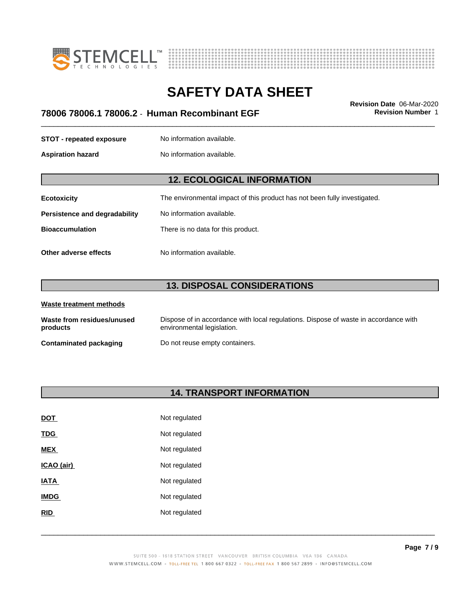



## \_\_\_\_\_\_\_\_\_\_\_\_\_\_\_\_\_\_\_\_\_\_\_\_\_\_\_\_\_\_\_\_\_\_\_\_\_\_\_\_\_\_\_\_\_\_\_\_\_\_\_\_\_\_\_\_\_\_\_\_\_\_\_\_\_\_\_\_\_\_\_\_\_\_\_\_\_\_\_\_\_\_\_\_\_\_\_\_\_\_\_\_\_ **Revision Date** 06-Mar-2020 **78006 78006.1 78006.2** - **Human Recombinant EGF Revision Number** 1

**STOT** - **repeated exposure** No information available.

**Aspiration hazard** No information available.

### **12. ECOLOGICAL INFORMATION**

| <b>Ecotoxicity</b> | The environmental impact of this product has not been fully investigated. |  |
|--------------------|---------------------------------------------------------------------------|--|
|--------------------|---------------------------------------------------------------------------|--|

**Persistence and degradability** No information available.

**Bioaccumulation** There is no data for this product.

**Other adverse effects** No information available.

### **13. DISPOSAL CONSIDERATIONS**

| Waste treatment methods                |                                                                                                                    |
|----------------------------------------|--------------------------------------------------------------------------------------------------------------------|
| Waste from residues/unused<br>products | Dispose of in accordance with local regulations. Dispose of waste in accordance with<br>environmental legislation. |
| <b>Contaminated packaging</b>          | Do not reuse empty containers.                                                                                     |

### **14. TRANSPORT INFORMATION**

| <u>DOT</u>  | Not regulated |  |
|-------------|---------------|--|
| <u>TDG</u>  | Not regulated |  |
| <b>MEX</b>  | Not regulated |  |
| ICAO (air)  | Not regulated |  |
| <u>IATA</u> | Not regulated |  |
| <b>IMDG</b> | Not regulated |  |
| <b>RID</b>  | Not regulated |  |
|             |               |  |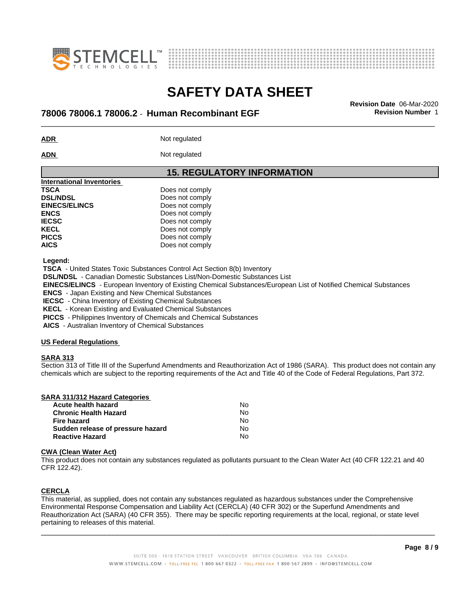



## \_\_\_\_\_\_\_\_\_\_\_\_\_\_\_\_\_\_\_\_\_\_\_\_\_\_\_\_\_\_\_\_\_\_\_\_\_\_\_\_\_\_\_\_\_\_\_\_\_\_\_\_\_\_\_\_\_\_\_\_\_\_\_\_\_\_\_\_\_\_\_\_\_\_\_\_\_\_\_\_\_\_\_\_\_\_\_\_\_\_\_\_\_ **Revision Date** 06-Mar-2020 **78006 78006.1 78006.2** - **Human Recombinant EGF Revision Number** 1

**ADR** Not regulated

ADN Not regulated

### **15. REGULATORY INFORMATION**

| International Inventories |                 |  |
|---------------------------|-----------------|--|
| <b>TSCA</b>               | Does not comply |  |
| <b>DSL/NDSL</b>           | Does not comply |  |
| <b>EINECS/ELINCS</b>      | Does not comply |  |
| <b>ENCS</b>               | Does not comply |  |
| <b>IECSC</b>              | Does not comply |  |
| <b>KECL</b>               | Does not comply |  |
| <b>PICCS</b>              | Does not comply |  |
| <b>AICS</b>               | Does not comply |  |
|                           |                 |  |

 **Legend:**

 **TSCA** - United States Toxic Substances Control Act Section 8(b) Inventory

 **DSL/NDSL** - Canadian Domestic Substances List/Non-Domestic Substances List

 **EINECS/ELINCS** - European Inventory of Existing Chemical Substances/European List of Notified Chemical Substances

 **ENCS** - Japan Existing and New Chemical Substances

 **IECSC** - China Inventory of Existing Chemical Substances

 **KECL** - Korean Existing and Evaluated Chemical Substances

 **PICCS** - Philippines Inventory of Chemicals and Chemical Substances

 **AICS** - Australian Inventory of Chemical Substances

### **US Federal Regulations**

### **SARA 313**

Section 313 of Title III of the Superfund Amendments and Reauthorization Act of 1986 (SARA). This product does not contain any chemicals which are subject to the reporting requirements of the Act and Title 40 of the Code of Federal Regulations, Part 372.

| Acute health hazard               | No |
|-----------------------------------|----|
| <b>Chronic Health Hazard</b>      | N٥ |
| Fire hazard                       | N٥ |
| Sudden release of pressure hazard | N٥ |
| <b>Reactive Hazard</b>            | N٥ |

### **CWA** (Clean Water Act)

This product does not contain any substances regulated as pollutants pursuant to the Clean Water Act (40 CFR 122.21 and 40 CFR 122.42).

### **CERCLA**

This material, as supplied, does not contain any substances regulated as hazardous substances under the Comprehensive Environmental Response Compensation and Liability Act (CERCLA) (40 CFR 302) or the Superfund Amendments and Reauthorization Act (SARA) (40 CFR 355). There may be specific reporting requirements at the local, regional, or state level pertaining to releases of this material.